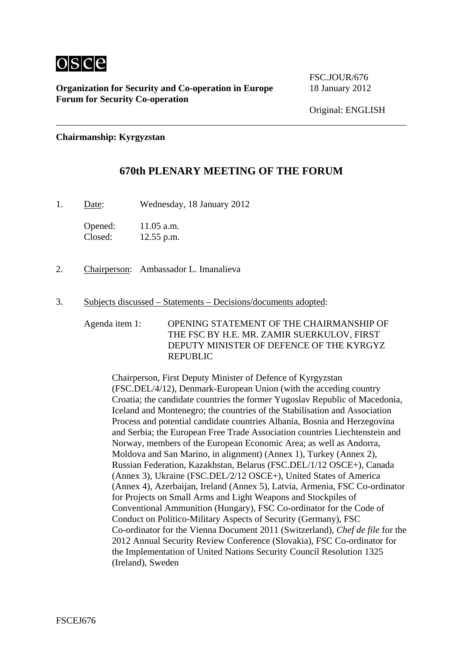

FSC.JOUR/676

**Chairmanship: Kyrgyzstan** 

## **670th PLENARY MEETING OF THE FORUM**

1. Date: Wednesday, 18 January 2012

Opened: 11.05 a.m. Closed: 12.55 p.m.

- 2. Chairperson: Ambassador L. Imanalieva
- 3. Subjects discussed Statements Decisions/documents adopted:

Agenda item 1: OPENING STATEMENT OF THE CHAIRMANSHIP OF THE FSC BY H.E. MR. ZAMIR SUERKULOV, FIRST DEPUTY MINISTER OF DEFENCE OF THE KYRGYZ REPUBLIC

Chairperson, First Deputy Minister of Defence of Kyrgyzstan (FSC.DEL/4/12), Denmark-European Union (with the acceding country Croatia; the candidate countries the former Yugoslav Republic of Macedonia, Iceland and Montenegro; the countries of the Stabilisation and Association Process and potential candidate countries Albania, Bosnia and Herzegovina and Serbia; the European Free Trade Association countries Liechtenstein and Norway, members of the European Economic Area; as well as Andorra, Moldova and San Marino, in alignment) (Annex 1), Turkey (Annex 2), Russian Federation, Kazakhstan, Belarus (FSC.DEL/1/12 OSCE+), Canada (Annex 3), Ukraine (FSC.DEL/2/12 OSCE+), United States of America (Annex 4), Azerbaijan, Ireland (Annex 5), Latvia, Armenia, FSC Co-ordinator for Projects on Small Arms and Light Weapons and Stockpiles of Conventional Ammunition (Hungary), FSC Co-ordinator for the Code of Conduct on Politico-Military Aspects of Security (Germany), FSC Co-ordinator for the Vienna Document 2011 (Switzerland), *Chef de file* for the 2012 Annual Security Review Conference (Slovakia), FSC Co-ordinator for the Implementation of United Nations Security Council Resolution 1325 (Ireland), Sweden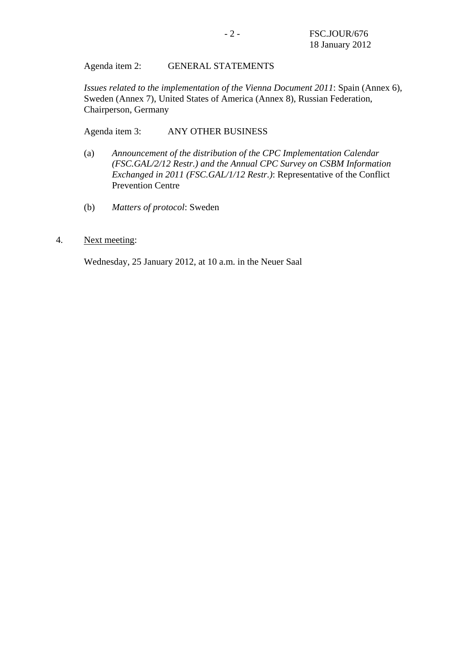Agenda item 2: GENERAL STATEMENTS

*Issues related to the implementation of the Vienna Document 2011*: Spain (Annex 6), Sweden (Annex 7), United States of America (Annex 8), Russian Federation, Chairperson, Germany

Agenda item 3: ANY OTHER BUSINESS

- (a) *Announcement of the distribution of the CPC Implementation Calendar (FSC.GAL/2/12 Restr.) and the Annual CPC Survey on CSBM Information Exchanged in 2011 (FSC.GAL/1/12 Restr.)*: Representative of the Conflict Prevention Centre
- (b) *Matters of protocol*: Sweden
- 4. Next meeting:

Wednesday, 25 January 2012, at 10 a.m. in the Neuer Saal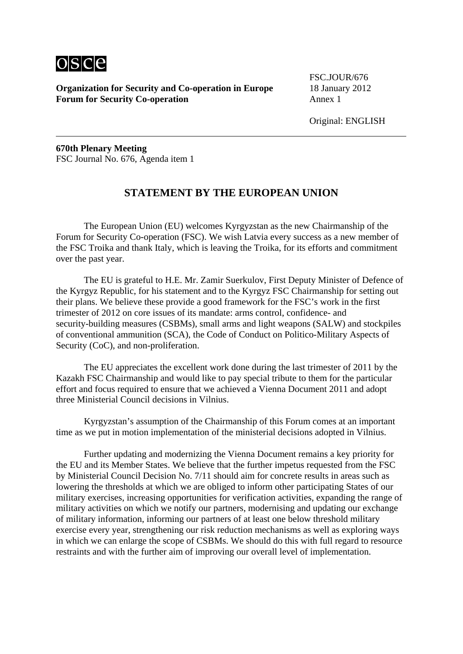

FSC.JOUR/676

**670th Plenary Meeting**  FSC Journal No. 676, Agenda item 1

## **STATEMENT BY THE EUROPEAN UNION**

 The European Union (EU) welcomes Kyrgyzstan as the new Chairmanship of the Forum for Security Co-operation (FSC). We wish Latvia every success as a new member of the FSC Troika and thank Italy, which is leaving the Troika, for its efforts and commitment over the past year.

 The EU is grateful to H.E. Mr. Zamir Suerkulov, First Deputy Minister of Defence of the Kyrgyz Republic, for his statement and to the Kyrgyz FSC Chairmanship for setting out their plans. We believe these provide a good framework for the FSC's work in the first trimester of 2012 on core issues of its mandate: arms control, confidence- and security-building measures (CSBMs), small arms and light weapons (SALW) and stockpiles of conventional ammunition (SCA), the Code of Conduct on Politico-Military Aspects of Security (CoC), and non-proliferation.

 The EU appreciates the excellent work done during the last trimester of 2011 by the Kazakh FSC Chairmanship and would like to pay special tribute to them for the particular effort and focus required to ensure that we achieved a Vienna Document 2011 and adopt three Ministerial Council decisions in Vilnius.

 Kyrgyzstan's assumption of the Chairmanship of this Forum comes at an important time as we put in motion implementation of the ministerial decisions adopted in Vilnius.

 Further updating and modernizing the Vienna Document remains a key priority for the EU and its Member States. We believe that the further impetus requested from the FSC by Ministerial Council Decision No. 7/11 should aim for concrete results in areas such as lowering the thresholds at which we are obliged to inform other participating States of our military exercises, increasing opportunities for verification activities, expanding the range of military activities on which we notify our partners, modernising and updating our exchange of military information, informing our partners of at least one below threshold military exercise every year, strengthening our risk reduction mechanisms as well as exploring ways in which we can enlarge the scope of CSBMs. We should do this with full regard to resource restraints and with the further aim of improving our overall level of implementation.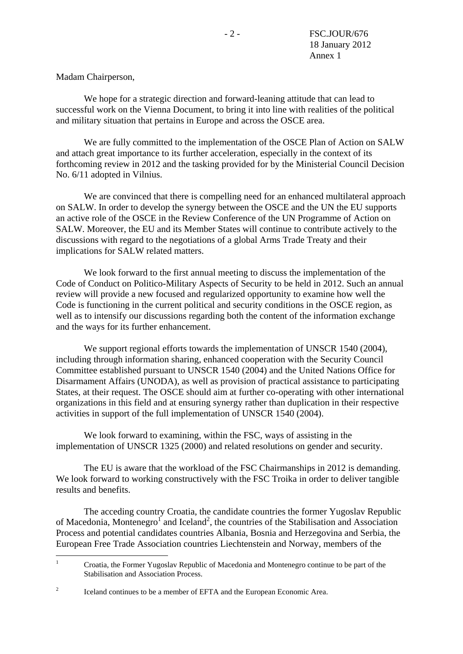Madam Chairperson,

 We hope for a strategic direction and forward-leaning attitude that can lead to successful work on the Vienna Document, to bring it into line with realities of the political and military situation that pertains in Europe and across the OSCE area.

 We are fully committed to the implementation of the OSCE Plan of Action on SALW and attach great importance to its further acceleration, especially in the context of its forthcoming review in 2012 and the tasking provided for by the Ministerial Council Decision No. 6/11 adopted in Vilnius.

 We are convinced that there is compelling need for an enhanced multilateral approach on SALW. In order to develop the synergy between the OSCE and the UN the EU supports an active role of the OSCE in the Review Conference of the UN Programme of Action on SALW. Moreover, the EU and its Member States will continue to contribute actively to the discussions with regard to the negotiations of a global Arms Trade Treaty and their implications for SALW related matters.

 We look forward to the first annual meeting to discuss the implementation of the Code of Conduct on Politico-Military Aspects of Security to be held in 2012. Such an annual review will provide a new focused and regularized opportunity to examine how well the Code is functioning in the current political and security conditions in the OSCE region, as well as to intensify our discussions regarding both the content of the information exchange and the ways for its further enhancement.

We support regional efforts towards the implementation of UNSCR 1540 (2004), including through information sharing, enhanced cooperation with the Security Council Committee established pursuant to UNSCR 1540 (2004) and the United Nations Office for Disarmament Affairs (UNODA), as well as provision of practical assistance to participating States, at their request. The OSCE should aim at further co-operating with other international organizations in this field and at ensuring synergy rather than duplication in their respective activities in support of the full implementation of UNSCR 1540 (2004).

 We look forward to examining, within the FSC, ways of assisting in the implementation of UNSCR 1325 (2000) and related resolutions on gender and security.

 The EU is aware that the workload of the FSC Chairmanships in 2012 is demanding. We look forward to working constructively with the FSC Troika in order to deliver tangible results and benefits.

 The acceding country Croatia, the candidate countries the former Yugoslav Republic of Macedonia, Montenegro<sup>1</sup> and Iceland<sup>2</sup>, the countries of the Stabilisation and Association Process and potential candidates countries Albania, Bosnia and Herzegovina and Serbia, the European Free Trade Association countries Liechtenstein and Norway, members of the

 $\frac{1}{1}$  Croatia, the Former Yugoslav Republic of Macedonia and Montenegro continue to be part of the Stabilisation and Association Process.

<sup>2</sup> Iceland continues to be a member of EFTA and the European Economic Area.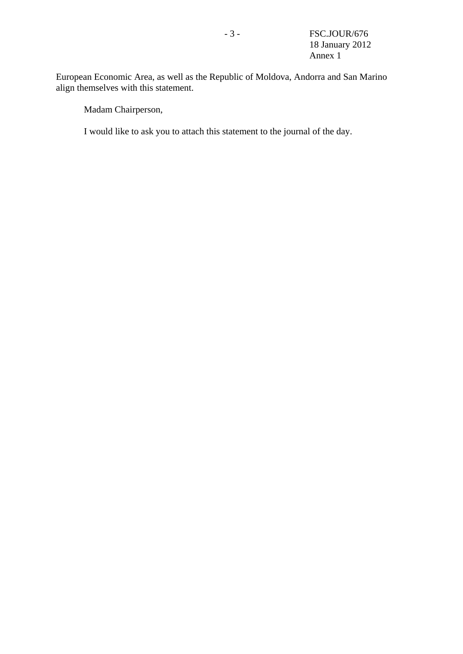European Economic Area, as well as the Republic of Moldova, Andorra and San Marino align themselves with this statement.

Madam Chairperson,

I would like to ask you to attach this statement to the journal of the day.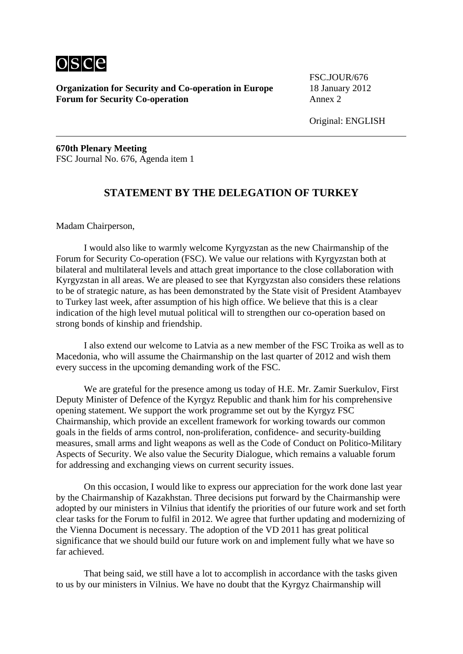

FSC.JOUR/676

Original: ENGLISH

**670th Plenary Meeting**  FSC Journal No. 676, Agenda item 1

### **STATEMENT BY THE DELEGATION OF TURKEY**

Madam Chairperson,

 I would also like to warmly welcome Kyrgyzstan as the new Chairmanship of the Forum for Security Co-operation (FSC). We value our relations with Kyrgyzstan both at bilateral and multilateral levels and attach great importance to the close collaboration with Kyrgyzstan in all areas. We are pleased to see that Kyrgyzstan also considers these relations to be of strategic nature, as has been demonstrated by the State visit of President Atambayev to Turkey last week, after assumption of his high office. We believe that this is a clear indication of the high level mutual political will to strengthen our co-operation based on strong bonds of kinship and friendship.

 I also extend our welcome to Latvia as a new member of the FSC Troika as well as to Macedonia, who will assume the Chairmanship on the last quarter of 2012 and wish them every success in the upcoming demanding work of the FSC.

 We are grateful for the presence among us today of H.E. Mr. Zamir Suerkulov, First Deputy Minister of Defence of the Kyrgyz Republic and thank him for his comprehensive opening statement. We support the work programme set out by the Kyrgyz FSC Chairmanship, which provide an excellent framework for working towards our common goals in the fields of arms control, non-proliferation, confidence- and security-building measures, small arms and light weapons as well as the Code of Conduct on Politico-Military Aspects of Security. We also value the Security Dialogue, which remains a valuable forum for addressing and exchanging views on current security issues.

 On this occasion, I would like to express our appreciation for the work done last year by the Chairmanship of Kazakhstan. Three decisions put forward by the Chairmanship were adopted by our ministers in Vilnius that identify the priorities of our future work and set forth clear tasks for the Forum to fulfil in 2012. We agree that further updating and modernizing of the Vienna Document is necessary. The adoption of the VD 2011 has great political significance that we should build our future work on and implement fully what we have so far achieved.

 That being said, we still have a lot to accomplish in accordance with the tasks given to us by our ministers in Vilnius. We have no doubt that the Kyrgyz Chairmanship will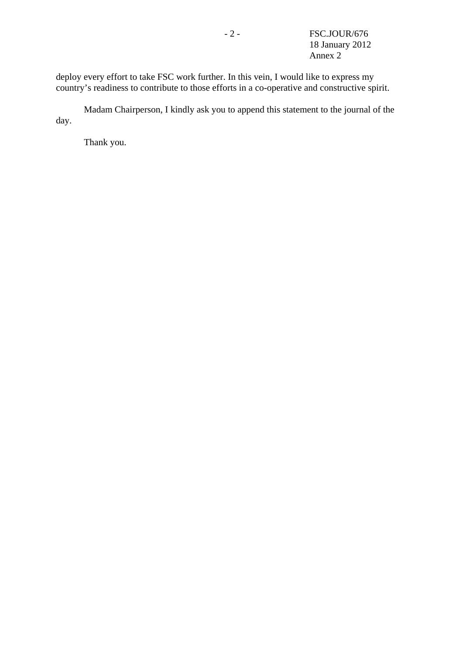deploy every effort to take FSC work further. In this vein, I would like to express my country's readiness to contribute to those efforts in a co-operative and constructive spirit.

 Madam Chairperson, I kindly ask you to append this statement to the journal of the day.

Thank you.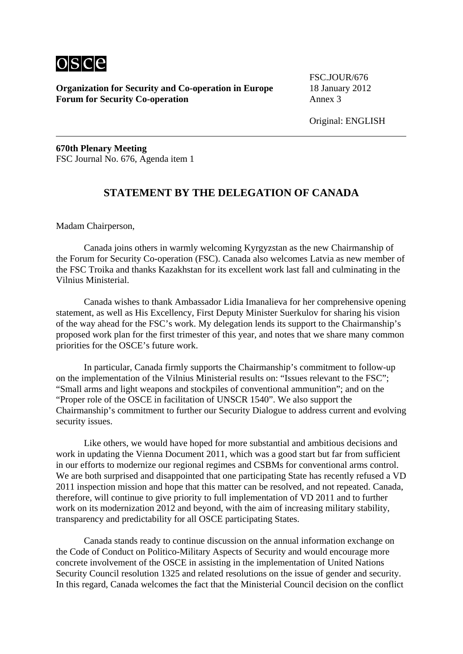

FSC.JOUR/676

Original: ENGLISH

**670th Plenary Meeting**  FSC Journal No. 676, Agenda item 1

### **STATEMENT BY THE DELEGATION OF CANADA**

Madam Chairperson,

 Canada joins others in warmly welcoming Kyrgyzstan as the new Chairmanship of the Forum for Security Co-operation (FSC). Canada also welcomes Latvia as new member of the FSC Troika and thanks Kazakhstan for its excellent work last fall and culminating in the Vilnius Ministerial.

 Canada wishes to thank Ambassador Lidia Imanalieva for her comprehensive opening statement, as well as His Excellency, First Deputy Minister Suerkulov for sharing his vision of the way ahead for the FSC's work. My delegation lends its support to the Chairmanship's proposed work plan for the first trimester of this year, and notes that we share many common priorities for the OSCE's future work.

 In particular, Canada firmly supports the Chairmanship's commitment to follow-up on the implementation of the Vilnius Ministerial results on: "Issues relevant to the FSC"; "Small arms and light weapons and stockpiles of conventional ammunition"; and on the "Proper role of the OSCE in facilitation of UNSCR 1540". We also support the Chairmanship's commitment to further our Security Dialogue to address current and evolving security issues.

 Like others, we would have hoped for more substantial and ambitious decisions and work in updating the Vienna Document 2011, which was a good start but far from sufficient in our efforts to modernize our regional regimes and CSBMs for conventional arms control. We are both surprised and disappointed that one participating State has recently refused a VD 2011 inspection mission and hope that this matter can be resolved, and not repeated. Canada, therefore, will continue to give priority to full implementation of VD 2011 and to further work on its modernization 2012 and beyond, with the aim of increasing military stability, transparency and predictability for all OSCE participating States.

 Canada stands ready to continue discussion on the annual information exchange on the Code of Conduct on Politico-Military Aspects of Security and would encourage more concrete involvement of the OSCE in assisting in the implementation of United Nations Security Council resolution 1325 and related resolutions on the issue of gender and security. In this regard, Canada welcomes the fact that the Ministerial Council decision on the conflict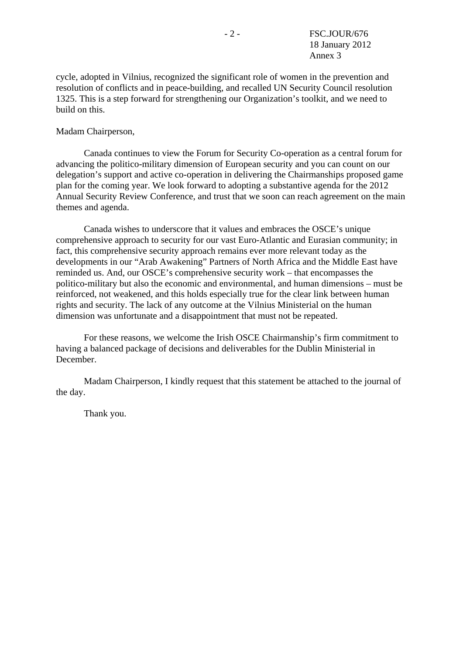cycle, adopted in Vilnius, recognized the significant role of women in the prevention and resolution of conflicts and in peace-building, and recalled UN Security Council resolution 1325. This is a step forward for strengthening our Organization's toolkit, and we need to build on this.

### Madam Chairperson,

 Canada continues to view the Forum for Security Co-operation as a central forum for advancing the politico-military dimension of European security and you can count on our delegation's support and active co-operation in delivering the Chairmanships proposed game plan for the coming year. We look forward to adopting a substantive agenda for the 2012 Annual Security Review Conference, and trust that we soon can reach agreement on the main themes and agenda.

 Canada wishes to underscore that it values and embraces the OSCE's unique comprehensive approach to security for our vast Euro-Atlantic and Eurasian community; in fact, this comprehensive security approach remains ever more relevant today as the developments in our "Arab Awakening" Partners of North Africa and the Middle East have reminded us. And, our OSCE's comprehensive security work – that encompasses the politico-military but also the economic and environmental, and human dimensions – must be reinforced, not weakened, and this holds especially true for the clear link between human rights and security. The lack of any outcome at the Vilnius Ministerial on the human dimension was unfortunate and a disappointment that must not be repeated.

 For these reasons, we welcome the Irish OSCE Chairmanship's firm commitment to having a balanced package of decisions and deliverables for the Dublin Ministerial in December.

 Madam Chairperson, I kindly request that this statement be attached to the journal of the day.

Thank you.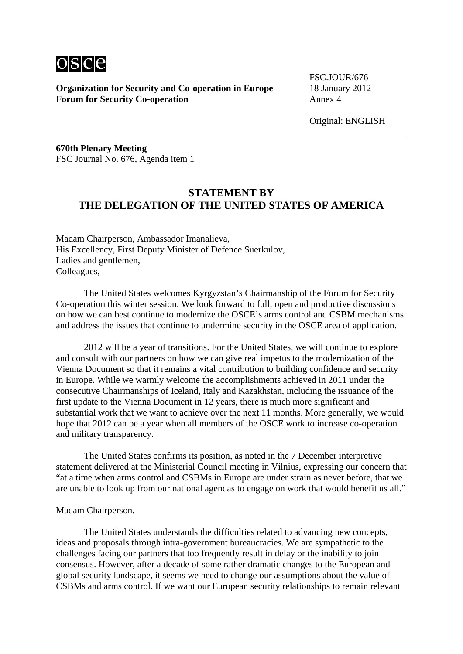

FSC.JOUR/676

Original: ENGLISH

**670th Plenary Meeting**  FSC Journal No. 676, Agenda item 1

# **STATEMENT BY THE DELEGATION OF THE UNITED STATES OF AMERICA**

Madam Chairperson, Ambassador Imanalieva, His Excellency, First Deputy Minister of Defence Suerkulov, Ladies and gentlemen, Colleagues,

 The United States welcomes Kyrgyzstan's Chairmanship of the Forum for Security Co-operation this winter session. We look forward to full, open and productive discussions on how we can best continue to modernize the OSCE's arms control and CSBM mechanisms and address the issues that continue to undermine security in the OSCE area of application.

 2012 will be a year of transitions. For the United States, we will continue to explore and consult with our partners on how we can give real impetus to the modernization of the Vienna Document so that it remains a vital contribution to building confidence and security in Europe. While we warmly welcome the accomplishments achieved in 2011 under the consecutive Chairmanships of Iceland, Italy and Kazakhstan, including the issuance of the first update to the Vienna Document in 12 years, there is much more significant and substantial work that we want to achieve over the next 11 months. More generally, we would hope that 2012 can be a year when all members of the OSCE work to increase co-operation and military transparency.

 The United States confirms its position, as noted in the 7 December interpretive statement delivered at the Ministerial Council meeting in Vilnius, expressing our concern that "at a time when arms control and CSBMs in Europe are under strain as never before, that we are unable to look up from our national agendas to engage on work that would benefit us all."

#### Madam Chairperson,

 The United States understands the difficulties related to advancing new concepts, ideas and proposals through intra-government bureaucracies. We are sympathetic to the challenges facing our partners that too frequently result in delay or the inability to join consensus. However, after a decade of some rather dramatic changes to the European and global security landscape, it seems we need to change our assumptions about the value of CSBMs and arms control. If we want our European security relationships to remain relevant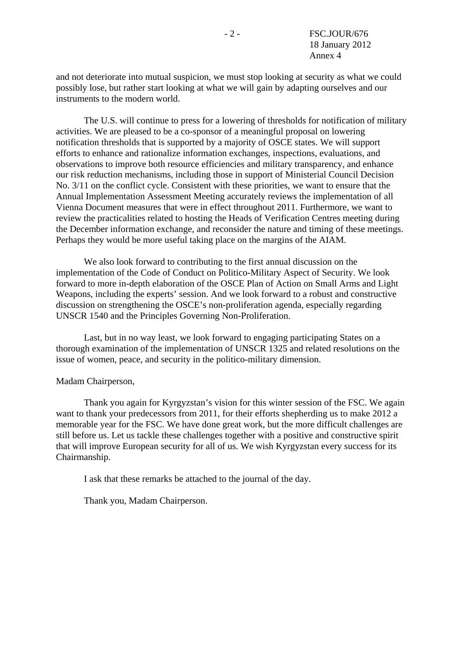and not deteriorate into mutual suspicion, we must stop looking at security as what we could possibly lose, but rather start looking at what we will gain by adapting ourselves and our instruments to the modern world.

 The U.S. will continue to press for a lowering of thresholds for notification of military activities. We are pleased to be a co-sponsor of a meaningful proposal on lowering notification thresholds that is supported by a majority of OSCE states. We will support efforts to enhance and rationalize information exchanges, inspections, evaluations, and observations to improve both resource efficiencies and military transparency, and enhance our risk reduction mechanisms, including those in support of Ministerial Council Decision No. 3/11 on the conflict cycle. Consistent with these priorities, we want to ensure that the Annual Implementation Assessment Meeting accurately reviews the implementation of all Vienna Document measures that were in effect throughout 2011. Furthermore, we want to review the practicalities related to hosting the Heads of Verification Centres meeting during the December information exchange, and reconsider the nature and timing of these meetings. Perhaps they would be more useful taking place on the margins of the AIAM.

 We also look forward to contributing to the first annual discussion on the implementation of the Code of Conduct on Politico-Military Aspect of Security. We look forward to more in-depth elaboration of the OSCE Plan of Action on Small Arms and Light Weapons, including the experts' session. And we look forward to a robust and constructive discussion on strengthening the OSCE's non-proliferation agenda, especially regarding UNSCR 1540 and the Principles Governing Non-Proliferation.

 Last, but in no way least, we look forward to engaging participating States on a thorough examination of the implementation of UNSCR 1325 and related resolutions on the issue of women, peace, and security in the politico-military dimension.

#### Madam Chairperson,

 Thank you again for Kyrgyzstan's vision for this winter session of the FSC. We again want to thank your predecessors from 2011, for their efforts shepherding us to make 2012 a memorable year for the FSC. We have done great work, but the more difficult challenges are still before us. Let us tackle these challenges together with a positive and constructive spirit that will improve European security for all of us. We wish Kyrgyzstan every success for its Chairmanship.

I ask that these remarks be attached to the journal of the day.

Thank you, Madam Chairperson.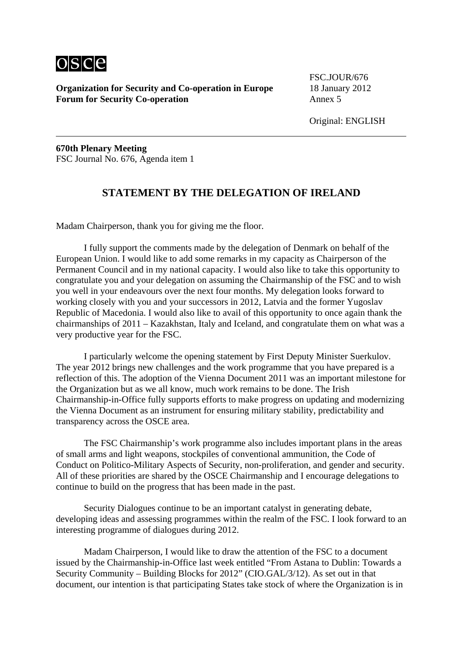

FSC.JOUR/676

Original: ENGLISH

**670th Plenary Meeting**  FSC Journal No. 676, Agenda item 1

### **STATEMENT BY THE DELEGATION OF IRELAND**

Madam Chairperson, thank you for giving me the floor.

 I fully support the comments made by the delegation of Denmark on behalf of the European Union. I would like to add some remarks in my capacity as Chairperson of the Permanent Council and in my national capacity. I would also like to take this opportunity to congratulate you and your delegation on assuming the Chairmanship of the FSC and to wish you well in your endeavours over the next four months. My delegation looks forward to working closely with you and your successors in 2012, Latvia and the former Yugoslav Republic of Macedonia. I would also like to avail of this opportunity to once again thank the chairmanships of 2011 – Kazakhstan, Italy and Iceland, and congratulate them on what was a very productive year for the FSC.

 I particularly welcome the opening statement by First Deputy Minister Suerkulov. The year 2012 brings new challenges and the work programme that you have prepared is a reflection of this. The adoption of the Vienna Document 2011 was an important milestone for the Organization but as we all know, much work remains to be done. The Irish Chairmanship-in-Office fully supports efforts to make progress on updating and modernizing the Vienna Document as an instrument for ensuring military stability, predictability and transparency across the OSCE area.

 The FSC Chairmanship's work programme also includes important plans in the areas of small arms and light weapons, stockpiles of conventional ammunition, the Code of Conduct on Politico-Military Aspects of Security, non-proliferation, and gender and security. All of these priorities are shared by the OSCE Chairmanship and I encourage delegations to continue to build on the progress that has been made in the past.

 Security Dialogues continue to be an important catalyst in generating debate, developing ideas and assessing programmes within the realm of the FSC. I look forward to an interesting programme of dialogues during 2012.

 Madam Chairperson, I would like to draw the attention of the FSC to a document issued by the Chairmanship-in-Office last week entitled "From Astana to Dublin: Towards a Security Community – Building Blocks for 2012" (CIO.GAL/3/12). As set out in that document, our intention is that participating States take stock of where the Organization is in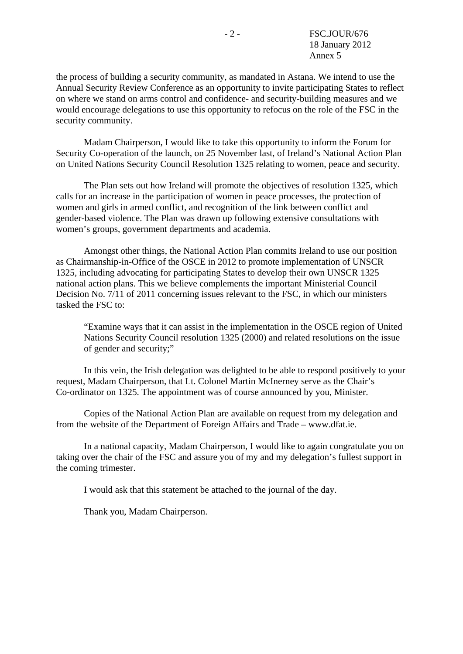the process of building a security community, as mandated in Astana. We intend to use the Annual Security Review Conference as an opportunity to invite participating States to reflect on where we stand on arms control and confidence- and security-building measures and we would encourage delegations to use this opportunity to refocus on the role of the FSC in the security community.

 Madam Chairperson, I would like to take this opportunity to inform the Forum for Security Co-operation of the launch, on 25 November last, of Ireland's National Action Plan on United Nations Security Council Resolution 1325 relating to women, peace and security.

 The Plan sets out how Ireland will promote the objectives of resolution 1325, which calls for an increase in the participation of women in peace processes, the protection of women and girls in armed conflict, and recognition of the link between conflict and gender-based violence. The Plan was drawn up following extensive consultations with women's groups, government departments and academia.

 Amongst other things, the National Action Plan commits Ireland to use our position as Chairmanship-in-Office of the OSCE in 2012 to promote implementation of UNSCR 1325, including advocating for participating States to develop their own UNSCR 1325 national action plans. This we believe complements the important Ministerial Council Decision No. 7/11 of 2011 concerning issues relevant to the FSC, in which our ministers tasked the FSC to:

"Examine ways that it can assist in the implementation in the OSCE region of United Nations Security Council resolution 1325 (2000) and related resolutions on the issue of gender and security;"

 In this vein, the Irish delegation was delighted to be able to respond positively to your request, Madam Chairperson, that Lt. Colonel Martin McInerney serve as the Chair's Co-ordinator on 1325. The appointment was of course announced by you, Minister.

 Copies of the National Action Plan are available on request from my delegation and from the website of the Department of Foreign Affairs and Trade – www.dfat.ie.

 In a national capacity, Madam Chairperson, I would like to again congratulate you on taking over the chair of the FSC and assure you of my and my delegation's fullest support in the coming trimester.

I would ask that this statement be attached to the journal of the day.

Thank you, Madam Chairperson.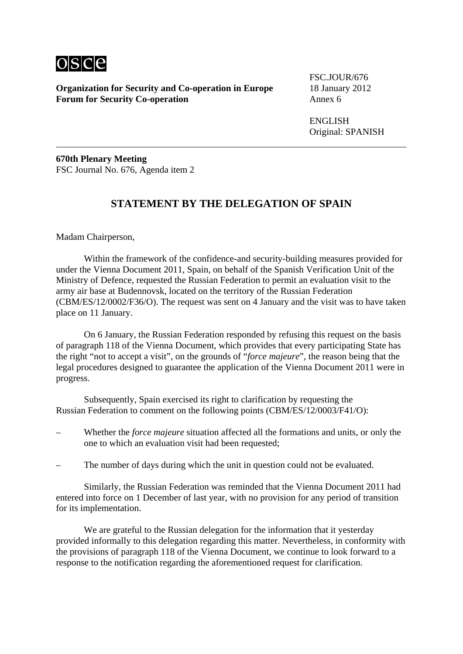

FSC.JOUR/676

 ENGLISH Original: SPANISH

**670th Plenary Meeting**  FSC Journal No. 676, Agenda item 2

## **STATEMENT BY THE DELEGATION OF SPAIN**

Madam Chairperson,

 Within the framework of the confidence-and security-building measures provided for under the Vienna Document 2011, Spain, on behalf of the Spanish Verification Unit of the Ministry of Defence, requested the Russian Federation to permit an evaluation visit to the army air base at Budennovsk, located on the territory of the Russian Federation (CBM/ES/12/0002/F36/O). The request was sent on 4 January and the visit was to have taken place on 11 January.

 On 6 January, the Russian Federation responded by refusing this request on the basis of paragraph 118 of the Vienna Document, which provides that every participating State has the right "not to accept a visit", on the grounds of "*force majeure*", the reason being that the legal procedures designed to guarantee the application of the Vienna Document 2011 were in progress.

 Subsequently, Spain exercised its right to clarification by requesting the Russian Federation to comment on the following points (CBM/ES/12/0003/F41/O):

- Whether the *force majeure* situation affected all the formations and units, or only the one to which an evaluation visit had been requested;
- The number of days during which the unit in question could not be evaluated.

 Similarly, the Russian Federation was reminded that the Vienna Document 2011 had entered into force on 1 December of last year, with no provision for any period of transition for its implementation.

 We are grateful to the Russian delegation for the information that it yesterday provided informally to this delegation regarding this matter. Nevertheless, in conformity with the provisions of paragraph 118 of the Vienna Document, we continue to look forward to a response to the notification regarding the aforementioned request for clarification.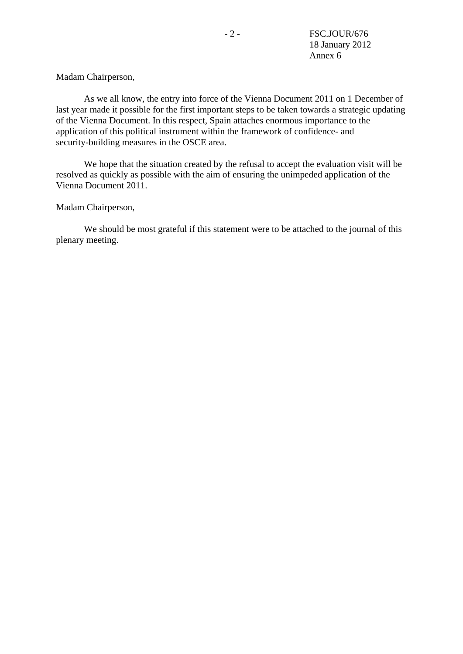Madam Chairperson,

 As we all know, the entry into force of the Vienna Document 2011 on 1 December of last year made it possible for the first important steps to be taken towards a strategic updating of the Vienna Document. In this respect, Spain attaches enormous importance to the application of this political instrument within the framework of confidence- and security-building measures in the OSCE area.

 We hope that the situation created by the refusal to accept the evaluation visit will be resolved as quickly as possible with the aim of ensuring the unimpeded application of the Vienna Document 2011.

#### Madam Chairperson,

 We should be most grateful if this statement were to be attached to the journal of this plenary meeting.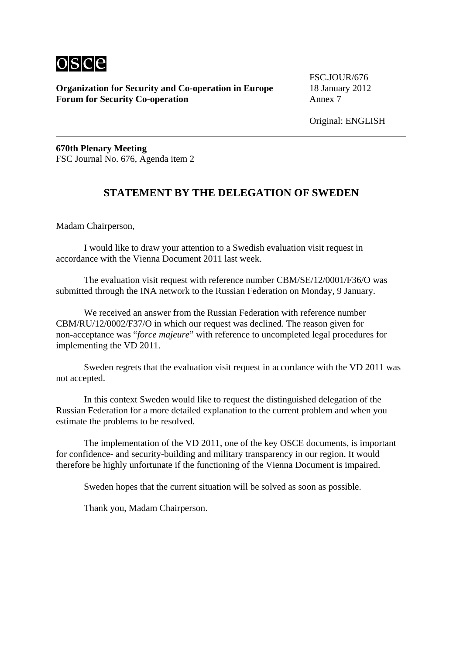

FSC.JOUR/676

Original: ENGLISH

**670th Plenary Meeting**  FSC Journal No. 676, Agenda item 2

## **STATEMENT BY THE DELEGATION OF SWEDEN**

Madam Chairperson,

 I would like to draw your attention to a Swedish evaluation visit request in accordance with the Vienna Document 2011 last week.

 The evaluation visit request with reference number CBM/SE/12/0001/F36/O was submitted through the INA network to the Russian Federation on Monday, 9 January.

 We received an answer from the Russian Federation with reference number CBM/RU/12/0002/F37/O in which our request was declined. The reason given for non-acceptance was "*force majeure*" with reference to uncompleted legal procedures for implementing the VD 2011.

 Sweden regrets that the evaluation visit request in accordance with the VD 2011 was not accepted.

 In this context Sweden would like to request the distinguished delegation of the Russian Federation for a more detailed explanation to the current problem and when you estimate the problems to be resolved.

 The implementation of the VD 2011, one of the key OSCE documents, is important for confidence- and security-building and military transparency in our region. It would therefore be highly unfortunate if the functioning of the Vienna Document is impaired.

Sweden hopes that the current situation will be solved as soon as possible.

Thank you, Madam Chairperson.